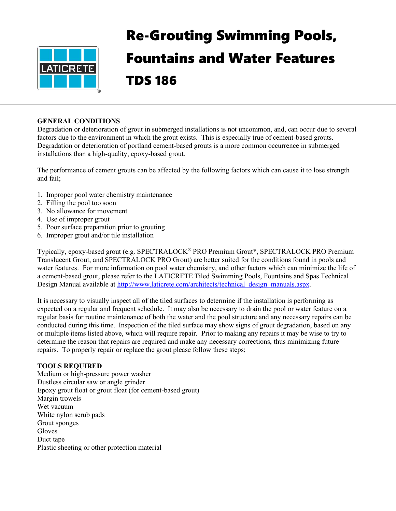

# Re-Grouting Swimming Pools, Fountains and Water Features TDS 186

### **GENERAL CONDITIONS**

Degradation or deterioration of grout in submerged installations is not uncommon, and, can occur due to several factors due to the environment in which the grout exists. This is especially true of cement-based grouts. Degradation or deterioration of portland cement-based grouts is a more common occurrence in submerged installations than a high-quality, epoxy-based grout.

The performance of cement grouts can be affected by the following factors which can cause it to lose strength and fail;

- 1. Improper pool water chemistry maintenance
- 2. Filling the pool too soon
- 3. No allowance for movement
- 4. Use of improper grout
- 5. Poor surface preparation prior to grouting
- 6. Improper grout and/or tile installation

Typically, epoxy-based grout (e.g. SPECTRALOCK® PRO Premium Grout\*, SPECTRALOCK PRO Premium Translucent Grout, and SPECTRALOCK PRO Grout) are better suited for the conditions found in pools and water features. For more information on pool water chemistry, and other factors which can minimize the life of a cement-based grout, please refer to the LATICRETE Tiled Swimming Pools, Fountains and Spas Technical Design Manual available at [http://www.laticrete.com/architects/technical\\_design\\_manuals.aspx.](http://www.laticrete.com/architects/technical_design_manuals.aspx)

It is necessary to visually inspect all of the tiled surfaces to determine if the installation is performing as expected on a regular and frequent schedule. It may also be necessary to drain the pool or water feature on a regular basis for routine maintenance of both the water and the pool structure and any necessary repairs can be conducted during this time. Inspection of the tiled surface may show signs of grout degradation, based on any or multiple items listed above, which will require repair. Prior to making any repairs it may be wise to try to determine the reason that repairs are required and make any necessary corrections, thus minimizing future repairs. To properly repair or replace the grout please follow these steps;

## **TOOLS REQUIRED**

Medium or high-pressure power washer Dustless circular saw or angle grinder Epoxy grout float or grout float (for cement-based grout) Margin trowels Wet vacuum White nylon scrub pads Grout sponges Gloves Duct tape Plastic sheeting or other protection material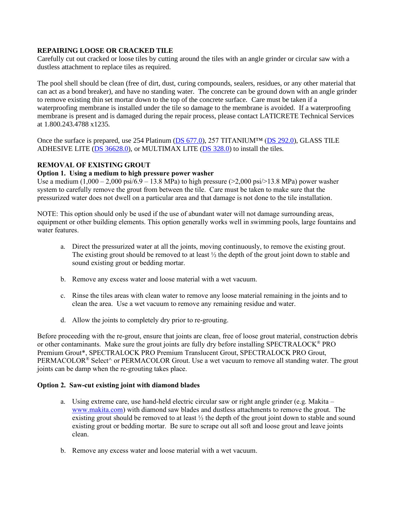### **REPAIRING LOOSE OR CRACKED TILE**

Carefully cut out cracked or loose tiles by cutting around the tiles with an angle grinder or circular saw with a dustless attachment to replace tiles as required.

The pool shell should be clean (free of dirt, dust, curing compounds, sealers, residues, or any other material that can act as a bond breaker), and have no standing water. The concrete can be ground down with an angle grinder to remove existing thin set mortar down to the top of the concrete surface. Care must be taken if a waterproofing membrane is installed under the tile so damage to the membrane is avoided. If a waterproofing membrane is present and is damaged during the repair process, please contact LATICRETE Technical Services at 1.800.243.4788 x1235.

Once the surface is prepared, use 254 Platinum (DS [677.0\)](http://www.laticrete.com/Portals/0/datasheets/lds6770.pdf), 257 TITANIUM™ [\(DS 292.0\)](https://cdn.laticrete.com/~/media/product-documents/product-data-sheets/lds2920_257-titanium.ashx), GLASS TILE ADHESIVE LITE [\(DS 36628.0\)](https://cdn.laticrete.com/~/media/product-documents/product-data-sheets/ds-36628.ashx?sc_lang=en&vs=1&d=20210208T150840Z), or MULTIMAX LITE [\(DS 328.0\)](https://cdn.laticrete.com/~/media/product-documents/product-data-sheets/ds-3280.ashx) to install the tiles.

## **REMOVAL OF EXISTING GROUT**

#### **Option 1. Using a medium to high pressure power washer**

Use a medium  $(1,000 - 2,000 \text{ psi}/6.9 - 13.8 \text{ MPa})$  to high pressure  $(>2,000 \text{ psi}/>13.8 \text{ MPa})$  power washer system to carefully remove the grout from between the tile. Care must be taken to make sure that the pressurized water does not dwell on a particular area and that damage is not done to the tile installation.

NOTE: This option should only be used if the use of abundant water will not damage surrounding areas, equipment or other building elements. This option generally works well in swimming pools, large fountains and water features.

- a. Direct the pressurized water at all the joints, moving continuously, to remove the existing grout. The existing grout should be removed to at least  $\frac{1}{2}$  the depth of the grout joint down to stable and sound existing grout or bedding mortar.
- b. Remove any excess water and loose material with a wet vacuum.
- c. Rinse the tiles areas with clean water to remove any loose material remaining in the joints and to clean the area. Use a wet vacuum to remove any remaining residue and water.
- d. Allow the joints to completely dry prior to re-grouting.

Before proceeding with the re-grout, ensure that joints are clean, free of loose grout material, construction debris or other contaminants. Make sure the grout joints are fully dry before installing SPECTRALOCK® PRO Premium Grout\*, SPECTRALOCK PRO Premium Translucent Grout, SPECTRALOCK PRO Grout, PERMACOLOR<sup>®</sup> Select<sup> $\wedge$ </sup> or PERMACOLOR Grout. Use a wet vacuum to remove all standing water. The grout joints can be damp when the re-grouting takes place.

#### **Option 2. Saw-cut existing joint with diamond blades**

- a. Using extreme care, use hand-held electric circular saw or right angle grinder (e.g. Makita [www.makita.com\)](http://www.makita.com/) with diamond saw blades and dustless attachments to remove the grout. The existing grout should be removed to at least  $\frac{1}{2}$  the depth of the grout joint down to stable and sound existing grout or bedding mortar. Be sure to scrape out all soft and loose grout and leave joints clean.
- b. Remove any excess water and loose material with a wet vacuum.